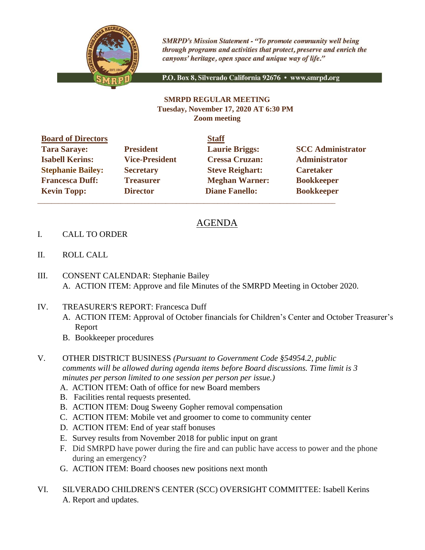

**SMRPD's Mission Statement - "To promote community well being** through programs and activities that protect, preserve and enrich the canyons' heritage, open space and unique way of life."

P.O. Box 8, Silverado California 92676 · www.smrpd.org

## **SMRPD REGULAR MEETING Tuesday, November 17, 2020 AT 6:30 PM Zoom meeting**

| <b>Board of Directors</b> |                       | <b>Staff</b>           |                          |
|---------------------------|-----------------------|------------------------|--------------------------|
| <b>Tara Saraye:</b>       | <b>President</b>      | <b>Laurie Briggs:</b>  | <b>SCC Administrator</b> |
| <b>Isabell Kerins:</b>    | <b>Vice-President</b> | <b>Cressa Cruzan:</b>  | Administrator            |
| <b>Stephanie Bailey:</b>  | <b>Secretary</b>      | <b>Steve Reighart:</b> | <b>Caretaker</b>         |
| <b>Francesca Duff:</b>    | <b>Treasurer</b>      | <b>Meghan Warner:</b>  | <b>Bookkeeper</b>        |
| <b>Kevin Topp:</b>        | <b>Director</b>       | <b>Diane Fanello:</b>  | <b>Bookkeeper</b>        |
|                           |                       |                        |                          |

## AGENDA

- I. CALL TO ORDER
- II. ROLL CALL
- III. CONSENT CALENDAR: Stephanie Bailey A. ACTION ITEM: Approve and file Minutes of the SMRPD Meeting in October 2020.
- IV. TREASURER'S REPORT: Francesca Duff A. ACTION ITEM: Approval of October financials for Children's Center and October Treasurer's Report
	- B. Bookkeeper procedures
- V. OTHER DISTRICT BUSINESS *(Pursuant to Government Code §54954.2, public comments will be allowed during agenda items before Board discussions. Time limit is 3 minutes per person limited to one session per person per issue.)*
	- A. ACTION ITEM: Oath of office for new Board members
	- B. Facilities rental requests presented.
	- B. ACTION ITEM: Doug Sweeny Gopher removal compensation
	- C. ACTION ITEM: Mobile vet and groomer to come to community center
	- D. ACTION ITEM: End of year staff bonuses
	- E. Survey results from November 2018 for public input on grant
	- F. Did SMRPD have power during the fire and can public have access to power and the phone during an emergency?
	- G. ACTION ITEM: Board chooses new positions next month
- VI. SILVERADO CHILDREN'S CENTER (SCC) OVERSIGHT COMMITTEE: Isabell Kerins A. Report and updates.